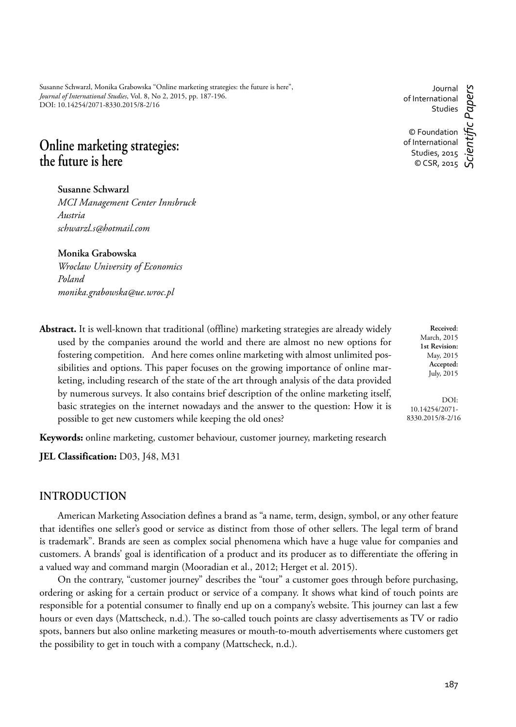Susanne Schwarzl, Monika Grabowska "Online marketing strategies: the future is here", *Journal of International Studies*, Vol. 8, No 2, 2015, pp. 187-196. DOI: 10.14254/2071-8330.2015/8-2/16

# **Online marketing strategies: the future is here**

**Susanne Schwarzl**

*MCI Management Center Innsbruck Austria schwarzl.s@hotmail.com*

#### **Monika Grabowska**

*Wroclaw University of Economics Poland monika.grabowska@ue.wroc.pl*

**Abstract.** It is well-known that traditional (offline) marketing strategies are already widely used by the companies around the world and there are almost no new options for fostering competition. And here comes online marketing with almost unlimited possibilities and options. This paper focuses on the growing importance of online marketing, including research of the state of the art through analysis of the data provided by numerous surveys. It also contains brief description of the online marketing itself, basic strategies on the internet nowadays and the answer to the question: How it is possible to get new customers while keeping the old ones?

**Keywords:** online marketing, customer behaviour, customer journey, marketing research

**JEL Classification:** D03, J48, M31

### **INTRODUCTION**

American Marketing Association defines a brand as "a name, term, design, symbol, or any other feature that identifies one seller's good or service as distinct from those of other sellers. The legal term of brand is trademark". Brands are seen as complex social phenomena which have a huge value for companies and customers. A brands' goal is identification of a product and its producer as to differentiate the offering in a valued way and command margin (Mooradian et al., 2012; Herget et al. 2015).

On the contrary, "customer journey" describes the "tour" a customer goes through before purchasing, ordering or asking for a certain product or service of a company. It shows what kind of touch points are responsible for a potential consumer to finally end up on a company's website. This journey can last a few hours or even days (Mattscheck, n.d.). The so-called touch points are classy advertisements as TV or radio spots, banners but also online marketing measures or mouth-to-mouth advertisements where customers get the possibility to get in touch with a company (Mattscheck, n.d.).

**Received**: March, 2015 **1st Revision:** May, 2015 **Accepted:** July, 2015

DOI: 10.14254/2071- 8330.2015/8-2/16

of International Studies © Foundation of International

Studies, 2015

Journal

 $\circ$  CSR, 2015 *Scientifi c Papers*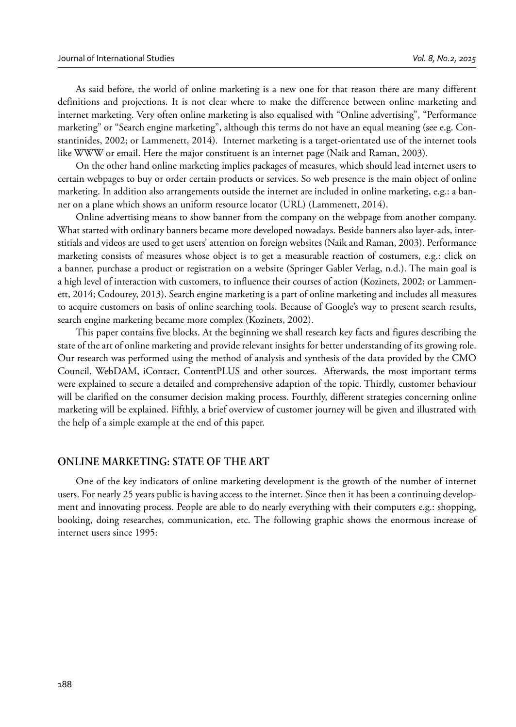As said before, the world of online marketing is a new one for that reason there are many different definitions and projections. It is not clear where to make the difference between online marketing and internet marketing. Very often online marketing is also equalised with "Online advertising", "Performance marketing" or "Search engine marketing", although this terms do not have an equal meaning (see e.g. Constantinides, 2002; or Lammenett, 2014). Internet marketing is a target-orientated use of the internet tools like WWW or email. Here the major constituent is an internet page (Naik and Raman, 2003).

On the other hand online marketing implies packages of measures, which should lead internet users to certain webpages to buy or order certain products or services. So web presence is the main object of online marketing. In addition also arrangements outside the internet are included in online marketing, e.g.: a banner on a plane which shows an uniform resource locator (URL) (Lammenett, 2014).

Online advertising means to show banner from the company on the webpage from another company. What started with ordinary banners became more developed nowadays. Beside banners also layer-ads, interstitials and videos are used to get users' attention on foreign websites (Naik and Raman, 2003). Performance marketing consists of measures whose object is to get a measurable reaction of costumers, e.g.: click on a banner, purchase a product or registration on a website (Springer Gabler Verlag, n.d.). The main goal is a high level of interaction with customers, to influence their courses of action (Kozinets, 2002; or Lammenett, 2014; Codourey, 2013). Search engine marketing is a part of online marketing and includes all measures to acquire customers on basis of online searching tools. Because of Google's way to present search results, search engine marketing became more complex (Kozinets, 2002).

This paper contains five blocks. At the beginning we shall research key facts and figures describing the state of the art of online marketing and provide relevant insights for better understanding of its growing role. Our research was performed using the method of analysis and synthesis of the data provided by the CMO Council, WebDAM, iContact, ContentPLUS and other sources. Afterwards, the most important terms were explained to secure a detailed and comprehensive adaption of the topic. Thirdly, customer behaviour will be clarified on the consumer decision making process. Fourthly, different strategies concerning online marketing will be explained. Fifthly, a brief overview of customer journey will be given and illustrated with the help of a simple example at the end of this paper.

### **ONLINE MARKETING: STATE OF THE ART**

One of the key indicators of online marketing development is the growth of the number of internet users. For nearly 25 years public is having access to the internet. Since then it has been a continuing development and innovating process. People are able to do nearly everything with their computers e.g.: shopping, booking, doing researches, communication, etc. The following graphic shows the enormous increase of internet users since 1995: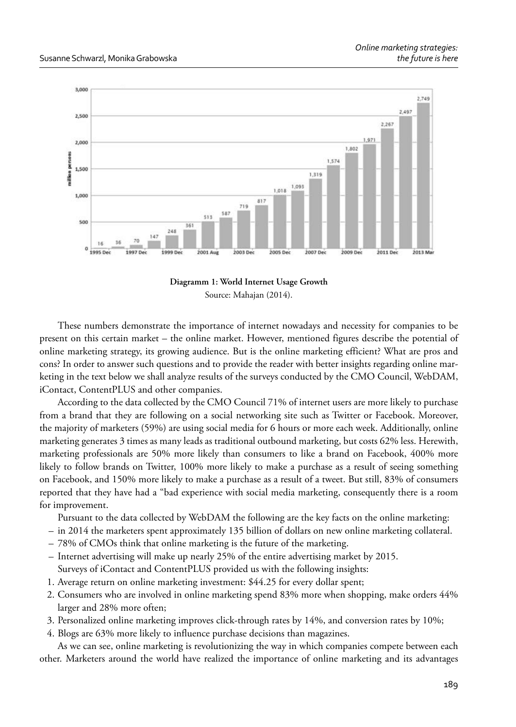

**Diagramm 1: World Internet Usage Growth** Source: Mahajan (2014).

These numbers demonstrate the importance of internet nowadays and necessity for companies to be present on this certain market – the online market. However, mentioned figures describe the potential of online marketing strategy, its growing audience. But is the online marketing efficient? What are pros and cons? In order to answer such questions and to provide the reader with better insights regarding online marketing in the text below we shall analyze results of the surveys conducted by the CMO Council, WebDAM, iContact, ContentPLUS and other companies.

According to the data collected by the CMO Council 71% of internet users are more likely to purchase from a brand that they are following on a social networking site such as Twitter or Facebook. Moreover, the majority of marketers (59%) are using social media for 6 hours or more each week. Additionally, online marketing generates 3 times as many leads as traditional outbound marketing, but costs 62% less. Herewith, marketing professionals are 50% more likely than consumers to like a brand on Facebook, 400% more likely to follow brands on Twitter, 100% more likely to make a purchase as a result of seeing something on Facebook, and 150% more likely to make a purchase as a result of a tweet. But still, 83% of consumers reported that they have had a "bad experience with social media marketing, consequently there is a room for improvement.

Pursuant to the data collected by WebDAM the following are the key facts on the online marketing:

- in 2014 the marketers spent approximately 135 billion of dollars on new online marketing collateral.
- 78% of CMOs think that online marketing is the future of the marketing.
- Internet advertising will make up nearly 25% of the entire advertising market by 2015. Surveys of iContact and ContentPLUS provided us with the following insights:
- 1. Average return on online marketing investment: \$44.25 for every dollar spent;
- 2. Consumers who are involved in online marketing spend 83% more when shopping, make orders 44% larger and 28% more often;
- 3. Personalized online marketing improves click-through rates by 14%, and conversion rates by 10%;

4. Blogs are 63% more likely to influence purchase decisions than magazines.

As we can see, online marketing is revolutionizing the way in which companies compete between each other. Marketers around the world have realized the importance of online marketing and its advantages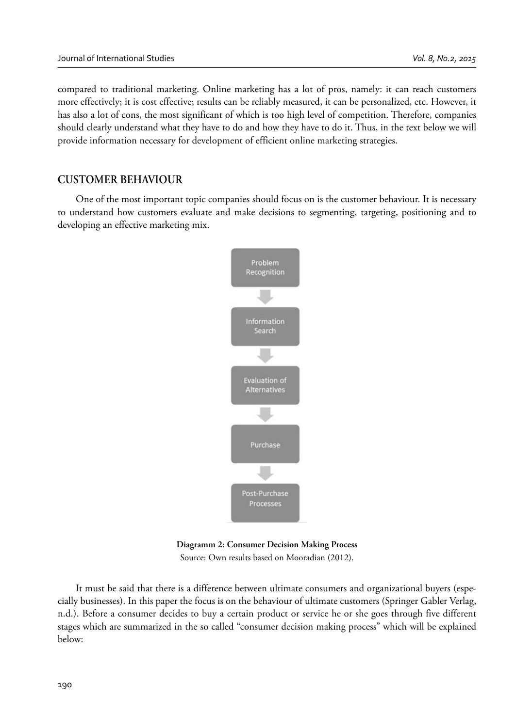compared to traditional marketing. Online marketing has a lot of pros, namely: it can reach customers more effectively; it is cost effective; results can be reliably measured, it can be personalized, etc. However, it has also a lot of cons, the most significant of which is too high level of competition. Therefore, companies should clearly understand what they have to do and how they have to do it. Thus, in the text below we will provide information necessary for development of efficient online marketing strategies.

# **CUSTOMER BEHAVIOUR**

One of the most important topic companies should focus on is the customer behaviour. It is necessary to understand how customers evaluate and make decisions to segmenting, targeting, positioning and to developing an effective marketing mix.



**Diagramm 2: Consumer Decision Making Process** Source: Own results based on Mooradian (2012).

It must be said that there is a difference between ultimate consumers and organizational buyers (especially businesses). In this paper the focus is on the behaviour of ultimate customers (Springer Gabler Verlag, n.d.). Before a consumer decides to buy a certain product or service he or she goes through five different stages which are summarized in the so called "consumer decision making process" which will be explained below: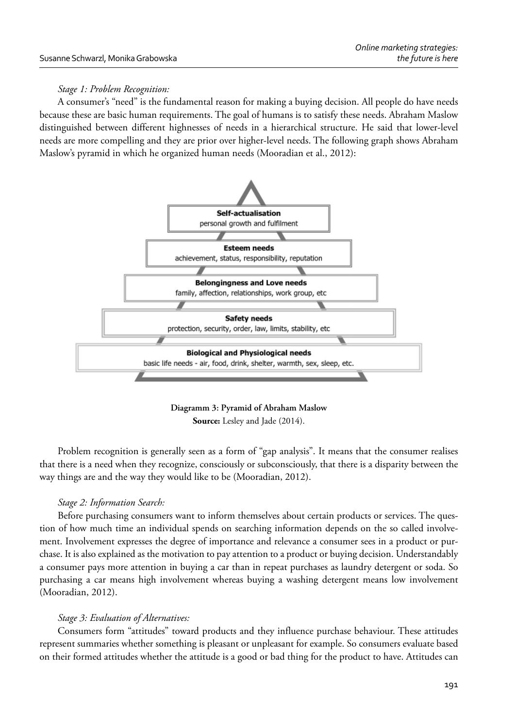## *Stage 1: Problem Recognition:*

A consumer's "need" is the fundamental reason for making a buying decision. All people do have needs because these are basic human requirements. The goal of humans is to satisfy these needs. Abraham Maslow distinguished between different highnesses of needs in a hierarchical structure. He said that lower-level needs are more compelling and they are prior over higher-level needs. The following graph shows Abraham Maslow's pyramid in which he organized human needs (Mooradian et al., 2012):



**Diagramm 3: Pyramid of Abraham Maslow Source:** Lesley and Jade (2014).

Problem recognition is generally seen as a form of "gap analysis". It means that the consumer realises that there is a need when they recognize, consciously or subconsciously, that there is a disparity between the way things are and the way they would like to be (Mooradian, 2012).

# *Stage 2: Information Search:*

Before purchasing consumers want to inform themselves about certain products or services. The question of how much time an individual spends on searching information depends on the so called involvement. Involvement expresses the degree of importance and relevance a consumer sees in a product or purchase. It is also explained as the motivation to pay attention to a product or buying decision. Understandably a consumer pays more attention in buying a car than in repeat purchases as laundry detergent or soda. So purchasing a car means high involvement whereas buying a washing detergent means low involvement (Mooradian, 2012).

# *Stage 3: Evaluation of Alternatives:*

Consumers form "attitudes" toward products and they influence purchase behaviour. These attitudes represent summaries whether something is pleasant or unpleasant for example. So consumers evaluate based on their formed attitudes whether the attitude is a good or bad thing for the product to have. Attitudes can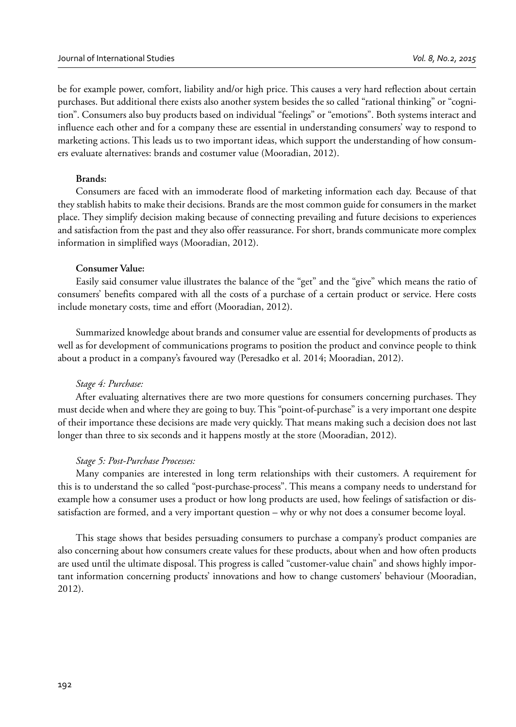be for example power, comfort, liability and/or high price. This causes a very hard reflection about certain purchases. But additional there exists also another system besides the so called "rational thinking" or "cognition". Consumers also buy products based on individual "feelings" or "emotions". Both systems interact and influence each other and for a company these are essential in understanding consumers' way to respond to marketing actions. This leads us to two important ideas, which support the understanding of how consumers evaluate alternatives: brands and costumer value (Mooradian, 2012).

#### **Brands:**

Consumers are faced with an immoderate flood of marketing information each day. Because of that they stablish habits to make their decisions. Brands are the most common guide for consumers in the market place. They simplify decision making because of connecting prevailing and future decisions to experiences and satisfaction from the past and they also offer reassurance. For short, brands communicate more complex information in simplified ways (Mooradian, 2012).

#### **Consumer Value:**

Easily said consumer value illustrates the balance of the "get" and the "give" which means the ratio of consumers' benefits compared with all the costs of a purchase of a certain product or service. Here costs include monetary costs, time and effort (Mooradian, 2012).

Summarized knowledge about brands and consumer value are essential for developments of products as well as for development of communications programs to position the product and convince people to think about a product in a company's favoured way (Peresadko et al. 2014; Mooradian, 2012).

#### *Stage 4: Purchase:*

After evaluating alternatives there are two more questions for consumers concerning purchases. They must decide when and where they are going to buy. This "point-of-purchase" is a very important one despite of their importance these decisions are made very quickly. That means making such a decision does not last longer than three to six seconds and it happens mostly at the store (Mooradian, 2012).

### *Stage 5: Post-Purchase Processes:*

Many companies are interested in long term relationships with their customers. A requirement for this is to understand the so called "post-purchase-process". This means a company needs to understand for example how a consumer uses a product or how long products are used, how feelings of satisfaction or dissatisfaction are formed, and a very important question – why or why not does a consumer become loyal.

This stage shows that besides persuading consumers to purchase a company's product companies are also concerning about how consumers create values for these products, about when and how often products are used until the ultimate disposal. This progress is called "customer-value chain" and shows highly important information concerning products' innovations and how to change customers' behaviour (Mooradian, 2012).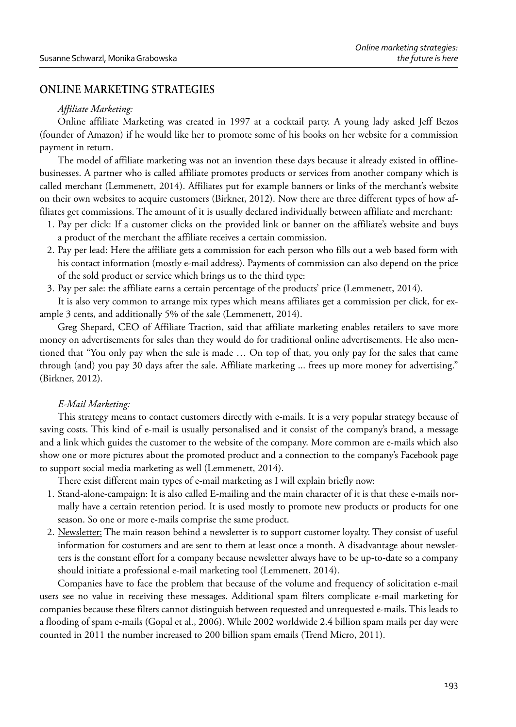# **ONLINE MARKETING STRATEGIES**

### *Affiliate Marketing:*

Online affiliate Marketing was created in 1997 at a cocktail party. A young lady asked Jeff Bezos (founder of Amazon) if he would like her to promote some of his books on her website for a commission payment in return.

The model of affiliate marketing was not an invention these days because it already existed in offlinebusinesses. A partner who is called affiliate promotes products or services from another company which is called merchant (Lemmenett, 2014). Affiliates put for example banners or links of the merchant's website on their own websites to acquire customers (Birkner, 2012). Now there are three different types of how affiliates get commissions. The amount of it is usually declared individually between affiliate and merchant:

- 1. Pay per click: If a customer clicks on the provided link or banner on the affiliate's website and buys a product of the merchant the affiliate receives a certain commission.
- 2. Pay per lead: Here the affiliate gets a commission for each person who fills out a web based form with his contact information (mostly e-mail address). Payments of commission can also depend on the price of the sold product or service which brings us to the third type:
- 3. Pay per sale: the affiliate earns a certain percentage of the products' price (Lemmenett, 2014).

It is also very common to arrange mix types which means affiliates get a commission per click, for example 3 cents, and additionally 5% of the sale (Lemmenett, 2014).

Greg Shepard, CEO of Affiliate Traction, said that affiliate marketing enables retailers to save more money on advertisements for sales than they would do for traditional online advertisements. He also mentioned that "You only pay when the sale is made … On top of that, you only pay for the sales that came through (and) you pay 30 days after the sale. Affiliate marketing ... frees up more money for advertising." (Birkner, 2012).

### *E-Mail Marketing:*

This strategy means to contact customers directly with e-mails. It is a very popular strategy because of saving costs. This kind of e-mail is usually personalised and it consist of the company's brand, a message and a link which guides the customer to the website of the company. More common are e-mails which also show one or more pictures about the promoted product and a connection to the company's Facebook page to support social media marketing as well (Lemmenett, 2014).

There exist different main types of e-mail marketing as I will explain briefly now:

- 1. Stand-alone-campaign: It is also called E-mailing and the main character of it is that these e-mails normally have a certain retention period. It is used mostly to promote new products or products for one season. So one or more e-mails comprise the same product.
- 2. Newsletter: The main reason behind a newsletter is to support customer loyalty. They consist of useful information for costumers and are sent to them at least once a month. A disadvantage about newsletters is the constant effort for a company because newsletter always have to be up-to-date so a company should initiate a professional e-mail marketing tool (Lemmenett, 2014).

Companies have to face the problem that because of the volume and frequency of solicitation e-mail users see no value in receiving these messages. Additional spam filters complicate e-mail marketing for companies because these filters cannot distinguish between requested and unrequested e-mails. This leads to a flooding of spam e-mails (Gopal et al., 2006). While 2002 worldwide 2.4 billion spam mails per day were counted in 2011 the number increased to 200 billion spam emails (Trend Micro, 2011).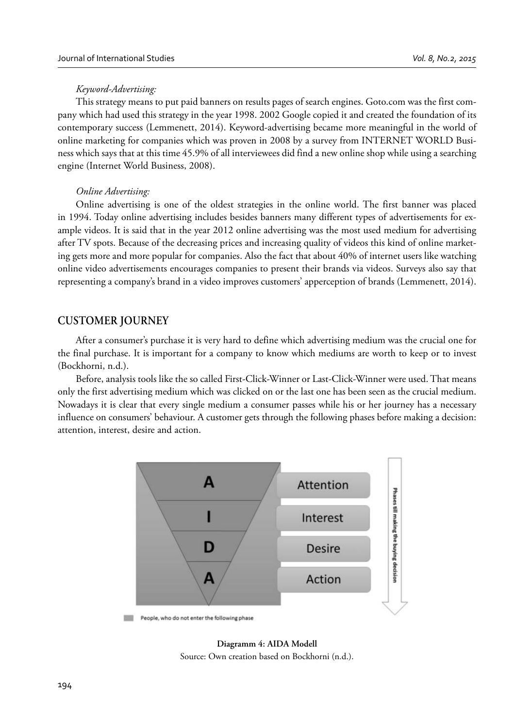### *Keyword-Advertising:*

This strategy means to put paid banners on results pages of search engines. Goto.com was the first company which had used this strategy in the year 1998. 2002 Google copied it and created the foundation of its contemporary success (Lemmenett, 2014). Keyword-advertising became more meaningful in the world of online marketing for companies which was proven in 2008 by a survey from INTERNET WORLD Business which says that at this time 45.9% of all interviewees did find a new online shop while using a searching engine (Internet World Business, 2008).

#### *Online Advertising:*

Online advertising is one of the oldest strategies in the online world. The first banner was placed in 1994. Today online advertising includes besides banners many different types of advertisements for example videos. It is said that in the year 2012 online advertising was the most used medium for advertising after TV spots. Because of the decreasing prices and increasing quality of videos this kind of online marketing gets more and more popular for companies. Also the fact that about 40% of internet users like watching online video advertisements encourages companies to present their brands via videos. Surveys also say that representing a company's brand in a video improves customers' apperception of brands (Lemmenett, 2014).

## **CUSTOMER JOURNEY**

After a consumer's purchase it is very hard to define which advertising medium was the crucial one for the final purchase. It is important for a company to know which mediums are worth to keep or to invest (Bockhorni, n.d.).

Before, analysis tools like the so called First-Click-Winner or Last-Click-Winner were used. That means only the first advertising medium which was clicked on or the last one has been seen as the crucial medium. Nowadays it is clear that every single medium a consumer passes while his or her journey has a necessary influence on consumers' behaviour. A customer gets through the following phases before making a decision: attention, interest, desire and action.



**Diagramm 4: AIDA Modell** Source: Own creation based on Bockhorni (n.d.).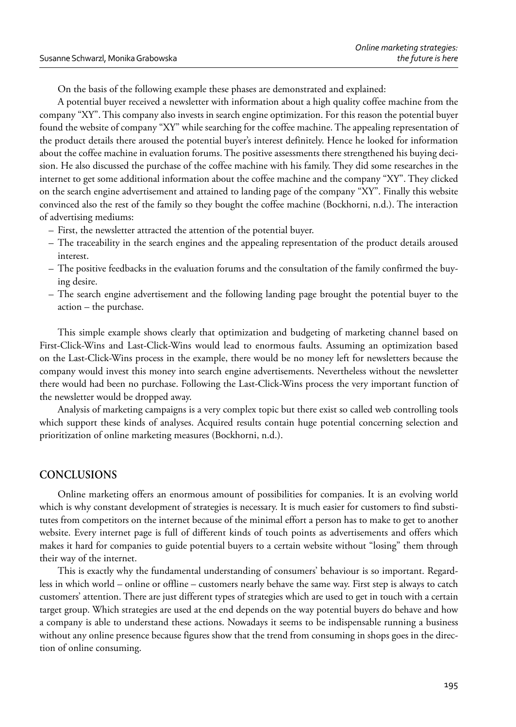On the basis of the following example these phases are demonstrated and explained:

A potential buyer received a newsletter with information about a high quality coffee machine from the company "XY". This company also invests in search engine optimization. For this reason the potential buyer found the website of company "XY" while searching for the coffee machine. The appealing representation of the product details there aroused the potential buyer's interest definitely. Hence he looked for information about the coffee machine in evaluation forums. The positive assessments there strengthened his buying decision. He also discussed the purchase of the coffee machine with his family. They did some researches in the internet to get some additional information about the coffee machine and the company "XY". They clicked on the search engine advertisement and attained to landing page of the company "XY". Finally this website convinced also the rest of the family so they bought the coffee machine (Bockhorni, n.d.). The interaction of advertising mediums:

- First, the newsletter attracted the attention of the potential buyer.
- The traceability in the search engines and the appealing representation of the product details aroused interest.
- The positive feedbacks in the evaluation forums and the consultation of the family confirmed the buying desire.
- The search engine advertisement and the following landing page brought the potential buyer to the action – the purchase.

This simple example shows clearly that optimization and budgeting of marketing channel based on First-Click-Wins and Last-Click-Wins would lead to enormous faults. Assuming an optimization based on the Last-Click-Wins process in the example, there would be no money left for newsletters because the company would invest this money into search engine advertisements. Nevertheless without the newsletter there would had been no purchase. Following the Last-Click-Wins process the very important function of the newsletter would be dropped away.

Analysis of marketing campaigns is a very complex topic but there exist so called web controlling tools which support these kinds of analyses. Acquired results contain huge potential concerning selection and prioritization of online marketing measures (Bockhorni, n.d.).

# **CONCLUSIONS**

Online marketing offers an enormous amount of possibilities for companies. It is an evolving world which is why constant development of strategies is necessary. It is much easier for customers to find substitutes from competitors on the internet because of the minimal effort a person has to make to get to another website. Every internet page is full of different kinds of touch points as advertisements and offers which makes it hard for companies to guide potential buyers to a certain website without "losing" them through their way of the internet.

This is exactly why the fundamental understanding of consumers' behaviour is so important. Regardless in which world – online or offline – customers nearly behave the same way. First step is always to catch customers' attention. There are just different types of strategies which are used to get in touch with a certain target group. Which strategies are used at the end depends on the way potential buyers do behave and how a company is able to understand these actions. Nowadays it seems to be indispensable running a business without any online presence because figures show that the trend from consuming in shops goes in the direction of online consuming.